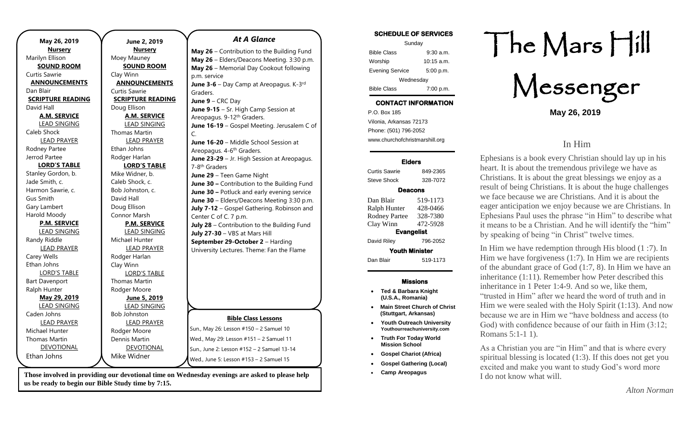| May 26, 2019             | June 2, 2019             | <b>At A Glance</b>                                                                             | <b>SCHEDULE OF SERVICES</b><br>Sunday       |                          |
|--------------------------|--------------------------|------------------------------------------------------------------------------------------------|---------------------------------------------|--------------------------|
| <b>Nursery</b>           | <b>Nursery</b>           | May 26 - Contribution to the Building Fund                                                     | <b>Bible Class</b><br>$9:30$ a.m.           |                          |
| Marilyn Ellison          | Moey Mauney              | May 26 - Elders/Deacons Meeting. 3:30 p.m.                                                     | $10:15$ a.m.<br>Worship                     |                          |
| <b>SOUND ROOM</b>        | <b>SOUND ROOM</b>        | May 26 - Memorial Day Cookout following                                                        | 5:00 p.m.<br><b>Evening Service</b>         |                          |
| Curtis Sawrie            | Clay Winn                | p.m. service                                                                                   | Wednesday                                   |                          |
| <b>ANNOUNCEMENTS</b>     | <b>ANNOUNCEMENTS</b>     | June 3-6 - Day Camp at Areopagus. K-3rd                                                        |                                             |                          |
| Dan Blair                | Curtis Sawrie            | Graders.                                                                                       | <b>Bible Class</b><br>7:00 p.m.             |                          |
| <b>SCRIPTURE READING</b> | <b>SCRIPTURE READING</b> | June $9 - CRC$ Day                                                                             | <b>CONTACT INFORMATION</b>                  |                          |
| David Hall               | Doug Ellison             | June 9-15 - Sr. High Camp Session at                                                           | P.O. Box 185                                |                          |
| <b>A.M. SERVICE</b>      | <b>A.M. SERVICE</b>      | Areopagus. 9-12 <sup>th</sup> Graders.                                                         | Vilonia, Arkansas 72173                     |                          |
| <b>LEAD SINGING</b>      | <b>LEAD SINGING</b>      | June 16-19 - Gospel Meeting. Jerusalem C of                                                    |                                             |                          |
| Caleb Shock              | <b>Thomas Martin</b>     | C.                                                                                             | Phone: (501) 796-2052                       |                          |
| <b>LEAD PRAYER</b>       | <b>LEAD PRAYER</b>       | June 16-20 - Middle School Session at                                                          | www.churchofchristmarshill.org              |                          |
| Rodney Partee            | Ethan Johns              | Areopagus. 4-6 <sup>th</sup> Graders.                                                          |                                             |                          |
| Jerrod Partee            | Rodger Harlan            | June 23-29 - Jr. High Session at Areopagus.                                                    | <b>Elders</b>                               | Ephesians is $\epsilon$  |
| <b>LORD'S TABLE</b>      | <b>LORD'S TABLE</b>      | 7-8 <sup>th</sup> Graders                                                                      |                                             | heart. It is abo         |
| Stanley Gordon, b.       | Mike Widner, b.          | June 29 - Teen Game Night                                                                      | <b>Curtis Sawrie</b><br>849-2365            | Christians. It           |
| Jade Smith, c.           | Caleb Shock, c.          | June 30 - Contribution to the Building Fund                                                    | <b>Steve Shock</b><br>328-7072              |                          |
| Harmon Sawrie, c.        | Bob Johnston, c.         | June 30 - Potluck and early evening service                                                    | <b>Deacons</b>                              | result of being          |
| <b>Gus Smith</b>         | David Hall               | June 30 - Elders/Deacons Meeting 3:30 p.m.                                                     | Dan Blair<br>519-1173                       | we face becau            |
| Gary Lambert             | Doug Ellison             | July 7-12 - Gospel Gathering. Robinson and                                                     | 428-0466<br>Ralph Hunter                    | eager anticipa           |
| Harold Moody             | Connor Marsh             | Center C of C. 7 p.m.                                                                          | 328-7380<br><b>Rodney Partee</b>            | <b>Ephesians Pat</b>     |
| <b>P.M. SERVICE</b>      | <b>P.M. SERVICE</b>      | July 28 - Contribution to the Building Fund                                                    | Clay Winn<br>472-5928                       | it means to be           |
| <b>LEAD SINGING</b>      | <b>LEAD SINGING</b>      | July 27-30 - VBS at Mars Hill                                                                  | <b>Evangelist</b>                           | by speaking o            |
| Randy Riddle             | Michael Hunter           | September 29-October 2 - Harding                                                               | David Riley<br>796-2052                     |                          |
| <b>LEAD PRAYER</b>       | <b>LEAD PRAYER</b>       | University Lectures. Theme: Fan the Flame                                                      | <b>Youth Minister</b>                       | In Him we ha             |
| Carey Wells              | Rodger Harlan            |                                                                                                | Dan Blair<br>519-1173                       | Him we have              |
| Ethan Johns              | Clay Winn                |                                                                                                |                                             | of the abunda            |
| <b>LORD'S TABLE</b>      | <b>LORD'S TABLE</b>      |                                                                                                |                                             |                          |
| <b>Bart Davenport</b>    | Thomas Martin            |                                                                                                | <b>Missions</b>                             | inheritance (1           |
| Ralph Hunter             | Rodger Moore             |                                                                                                | • Ted & Barbara Knight                      | inheritance in           |
| May 29, 2019             | June 5, 2019             |                                                                                                | (U.S.A., Romania)                           | "trusted in Hi           |
| <b>LEAD SINGING</b>      | <b>LEAD SINGING</b>      |                                                                                                | <b>Main Street Church of Christ</b>         | Him we were              |
| Caden Johns              | <b>Bob Johnston</b>      |                                                                                                | (Stuttgart, Arkansas)                       | because we ar            |
| <b>LEAD PRAYER</b>       | <b>LEAD PRAYER</b>       | <b>Bible Class Lessons</b>                                                                     | <b>Youth Outreach University</b>            | God) with cor            |
| Michael Hunter           | Rodger Moore             | Sun., May 26: Lesson #150 - 2 Samuel 10                                                        | Youthourreachuniversity.com                 | Romans 5:1-1             |
| <b>Thomas Martin</b>     | Dennis Martin            | Wed., May 29: Lesson #151 - 2 Samuel 11                                                        | • Truth For Today World                     |                          |
| <b>DEVOTIONAL</b>        | <b>DEVOTIONAL</b>        | Sun., June 2: Lesson #152 - 2 Samuel 13-14                                                     | <b>Mission School</b>                       | As a Christian           |
| Ethan Johns              | Mike Widner              |                                                                                                | <b>Gospel Chariot (Africa)</b><br>$\bullet$ | spiritual bless          |
|                          |                          | Wed., June 5: Lesson #153 - 2 Samuel 15                                                        | <b>Gospel Gathering (Local)</b>             | excited and m            |
|                          |                          | Those involved in providing our devotional time on Wednesday evenings are asked to please help | <b>Camp Areopagus</b><br>$\bullet$          | L <sub>do</sub> not know |

**us be ready to begin our Bible Study time by 7:15.** 

# The Mars Hill

Messenger

**May 26, 2019**

#### In Him

I book every Christian should lay up in his out the tremendous privilege we have as is about the great blessings we enjoy as a g Christians. It is about the huge challenges use we are Christians. And it is about the ation we enjoy because we are Christians. In aul uses the phrase "in Him" to describe what a Christian. And he will identify the "him" of being "in Christ" twelve times.

ave redemption through His blood  $(1 : 7)$ . In  $\epsilon$  forgiveness (1:7). In Him we are recipients ant grace of God  $(1:7, 8)$ . In Him we have an  $1:11$ ). Remember how Peter described this 1 Peter 1:4-9. And so we, like them, im" after we heard the word of truth and in sealed with the Holy Spirit  $(1:13)$ . And now re in Him we "have boldness and access (to infidence because of our faith in Him  $(3:12;$  $\ket{1}$ .

n you are "in Him" and that is where every sing is located  $(1:3)$ . If this does not get you nake you want to study God's word more I do not know what will.